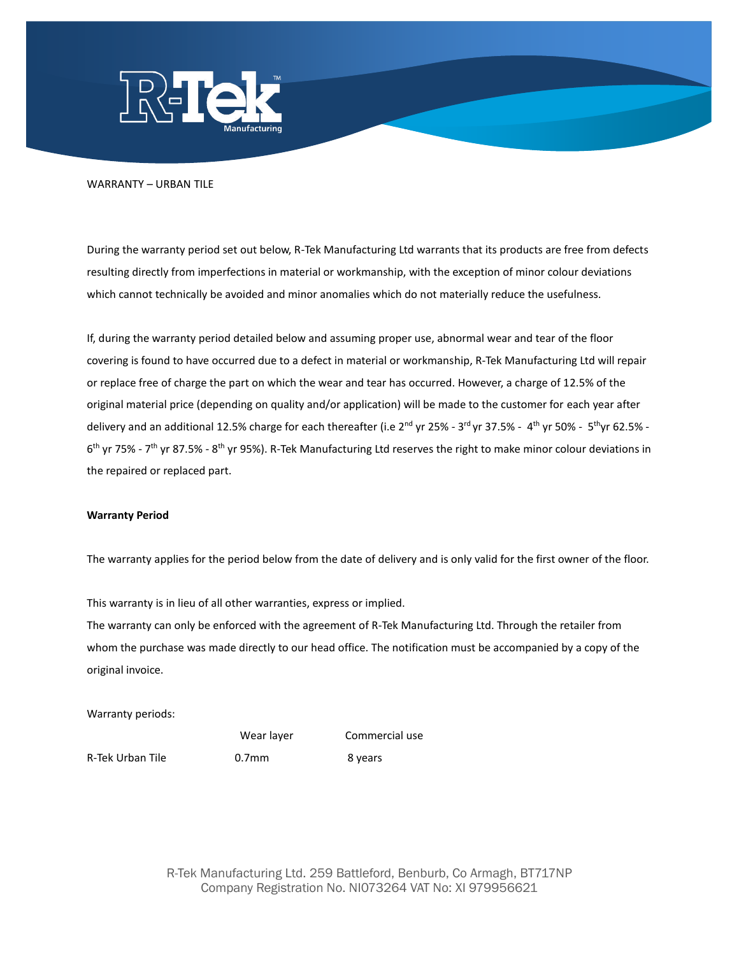

## WARRANTY – URBAN TILE

During the warranty period set out below, R-Tek Manufacturing Ltd warrants that its products are free from defects resulting directly from imperfections in material or workmanship, with the exception of minor colour deviations which cannot technically be avoided and minor anomalies which do not materially reduce the usefulness.

If, during the warranty period detailed below and assuming proper use, abnormal wear and tear of the floor covering is found to have occurred due to a defect in material or workmanship, R-Tek Manufacturing Ltd will repair or replace free of charge the part on which the wear and tear has occurred. However, a charge of 12.5% of the original material price (depending on quality and/or application) will be made to the customer for each year after delivery and an additional 12.5% charge for each thereafter (i.e 2<sup>nd</sup> yr 25% - 3<sup>rd</sup> yr 37.5% - 4<sup>th</sup> yr 50% - 5<sup>th</sup>yr 62.5% -6<sup>th</sup> yr 75% - 7<sup>th</sup> yr 87.5% - 8<sup>th</sup> yr 95%). R-Tek Manufacturing Ltd reserves the right to make minor colour deviations in the repaired or replaced part.

## **Warranty Period**

The warranty applies for the period below from the date of delivery and is only valid for the first owner of the floor.

This warranty is in lieu of all other warranties, express or implied.

The warranty can only be enforced with the agreement of R-Tek Manufacturing Ltd. Through the retailer from whom the purchase was made directly to our head office. The notification must be accompanied by a copy of the original invoice.

Warranty periods:

Wear layer

Commercial use

R-Tek Urban Tile

0.7mm 8 years

R-Tek Manufacturing Ltd. 259 Battleford, Benburb, Co Armagh, BT717NP Company Registration No. NI073264 VAT No: XI 979956621